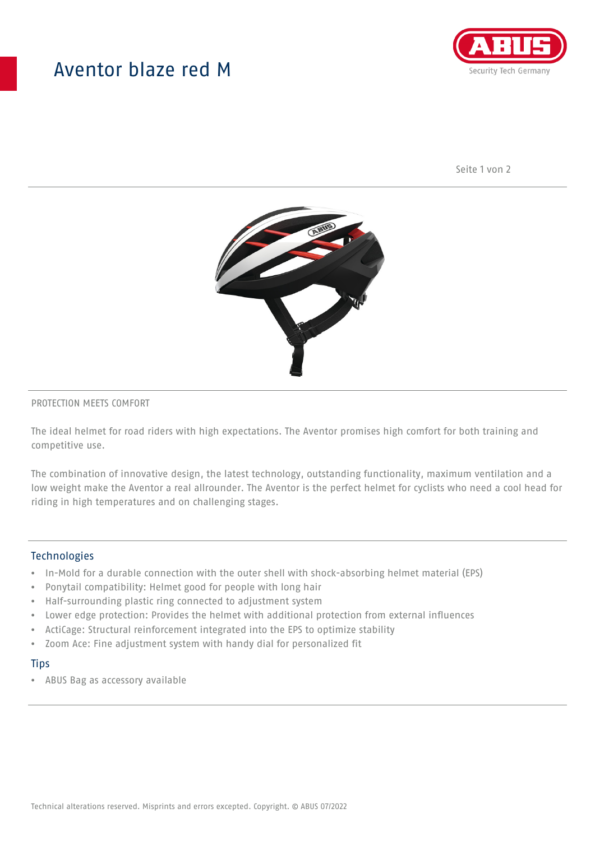## Aventor blaze red M



Seite 1 von 2



#### PROTECTION MEETS COMFORT

The ideal helmet for road riders with high expectations. The Aventor promises high comfort for both training and competitive use.

The combination of innovative design, the latest technology, outstanding functionality, maximum ventilation and a low weight make the Aventor a real allrounder. The Aventor is the perfect helmet for cyclists who need a cool head for riding in high temperatures and on challenging stages.

#### **Technologies**

- In-Mold for a durable connection with the outer shell with shock-absorbing helmet material (EPS)
- Ponytail compatibility: Helmet good for people with long hair
- Half-surrounding plastic ring connected to adjustment system
- Lower edge protection: Provides the helmet with additional protection from external influences
- ActiCage: Structural reinforcement integrated into the EPS to optimize stability
- Zoom Ace: Fine adjustment system with handy dial for personalized fit

#### **Tips**

• ABUS Bag as accessory available